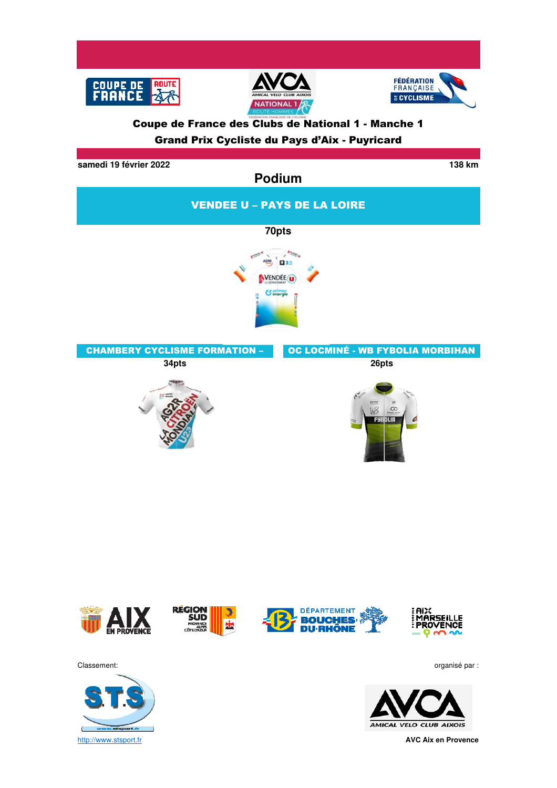

### Coupe de France des Clubs de National 1 - Manche 1 Grand Prix Cycliste du Pays d'Aix - Puyricard

**samedi 19 février 2022 138 km**

**Podium** VENDEE U – PAYS DE LA LOIRE **70ptsON DIE** VENDÉE<sup>O</sup> **C** energie CHAMBERY CYCLISME FORMATION – OC LOCMINÉ - WB FYBOLIA MORBIHAN **34pts 26pts**  $\infty$ WB **FYE OLIA** 



Classement: organisé par :



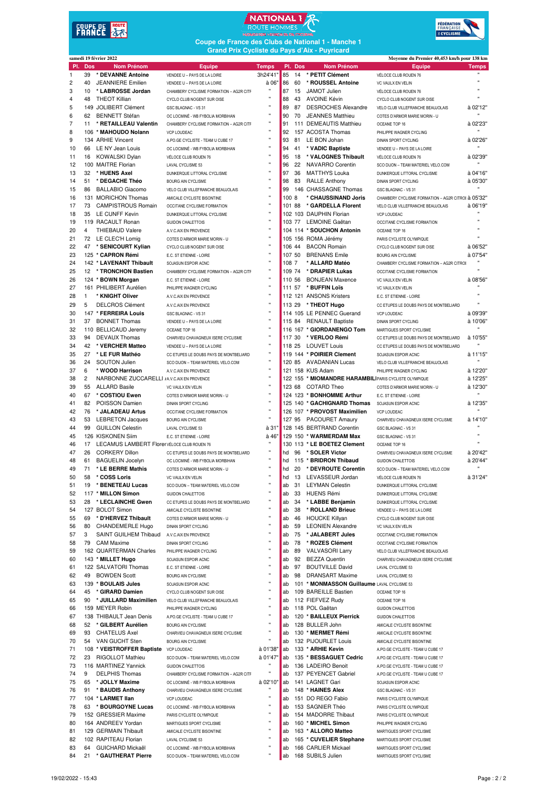# **COUPE DE ROUTE**<br>FRANCE 47





**Coupe de France des Clubs de National 1 - Manche 1 Grand Prix Cycliste du Pays d'Aix - Puyricard**

|                |                | samedi 19 février 2022                      |                                                           |                |          |          |                                                       | Moyenne du Premier 40,453 km/h pour 138 km                |                          |  |
|----------------|----------------|---------------------------------------------|-----------------------------------------------------------|----------------|----------|----------|-------------------------------------------------------|-----------------------------------------------------------|--------------------------|--|
| PI.            | <b>Dos</b>     | <b>Nom Prénom</b>                           | Equipe                                                    | <b>Temps</b>   |          | PI. Dos  | <b>Nom Prénom</b>                                     | Equipe                                                    | <b>Temps</b>             |  |
| $\mathbf{1}$   | 39             | * DEVANNE Antoine                           | VENDEE U - PAYS DE LA LOIRE                               | 3h24'41"       | 85       | 14       | * PETIT Clément                                       | VÉLOCE CLUB ROUEN 76                                      |                          |  |
| $\overline{c}$ | 40             | <b>JEANNIERE</b> Emilien                    | VENDEE U - PAYS DE LA LOIRE                               | à 06"          | 86       | 60       | * ROUSSEL Antoine                                     | VC VAULX EN VELIN                                         | $\mathbf{u}$             |  |
| 3              | 10             | * LABROSSE Jordan                           | CHAMBERY CYCLISME FORMATION - AG2R CITF                   | Ħ              | 87       | 15       | JAMOT Julien                                          | VÉLOCE CLUB ROUEN 76                                      | $\mathbf{u}$             |  |
| $\overline{4}$ | 48             | <b>THEOT Killian</b>                        | CYCLO CLUB NOGENT SUR OISE                                | Ħ<br>Ħ         | 88       | 43       | <b>AVOINE Kévin</b>                                   | CYCLO CLUB NOGENT SUR OISE                                |                          |  |
| 5              |                | 149 JOLIBERT Clément                        | GSC BLAGNAC - VS 31                                       | Ħ              | 89       | 87       | <b>DESROCHES Alexandre</b>                            | VELO CLUB VILLEFRANCHE BEAUJOLAIS                         | à 02'12'                 |  |
| 6              | 62             | <b>BENNETT Stéfan</b>                       | OC LOCMINÉ - WB FYBOLIA MORBIHAN                          | $\mathbf{H}$   | 90       | 70       | <b>JEANNES Matthieu</b>                               | COTES D'ARMOR MARIE MORIN - U                             |                          |  |
| $\overline{7}$ | 11             | * RETAILLEAU Valentin                       | CHAMBERY CYCLISME FORMATION - AG2R CITF                   | Ħ              | 91       |          | 111 DEMEAUTIS Matthieu                                | OCEANE TOP 16                                             | à 02'23'                 |  |
| 8              |                | 106 * MAHOUDO Nolann                        | VCP LOUDEAC                                               | Ħ              | 92       |          | 157 ACOSTA Thomas                                     | PHILIPPE WAGNER CYCLING                                   |                          |  |
| 9              |                | 134 ARHIE Vincent                           | A.PO.GE CYCLISTE - TEAM U CUBE 17                         | Ħ              | 93       | 81       | LE BON Johan                                          | <b>DINAN SPORT CYCLING</b>                                | à 02'26'<br>$\mathbf{H}$ |  |
| 10             | 66             | LE NY Jean Louis                            | OC LOCMINÉ - WB FYBOLIA MORBIHAN                          | Ħ              | 94       | 41       | * VADIC Baptiste                                      | VENDEE U - PAYS DE LA LOIRE                               |                          |  |
| 11             |                | 16 KOWALSKI Dylan<br>100 MAITRE Florian     | VÉLOCE CLUB ROUEN 76                                      | $\blacksquare$ | 95<br>96 | 18       | * VALOGNES Thibault<br>NAVARRO Corentin               | VÉLOCE CLUB ROUEN 76                                      | à 02'39'                 |  |
| 12<br>13       | 32             | * HUENS Axel                                | LAVAL CYCLISME 53                                         | Ħ              | 97       | 22<br>36 | <b>MATTHYS Louka</b>                                  | SCO DIJON - TEAM MATERIEL VELO.COM                        | à 04'16'                 |  |
| 14             | 51             | * DEGACHE Théo                              | DUNKERQUE LITTORAL CYCLISME<br><b>BOURG AIN CYCLISME</b>  | Ħ              | 98       | 83       |                                                       | DUNKERQUE LITTORAL CYCLISME<br><b>DINAN SPORT CYCLING</b> | à 05'30'                 |  |
| 15             | 86             |                                             |                                                           | Ħ              | 99       |          | <b>RALLE Anthony</b><br>146 CHASSAGNE Thomas          | <b>GSC BLAGNAC - VS 31</b>                                |                          |  |
| 16             |                | BALLABIO Giacomo<br>131 MORICHON Thomas     | VELO CLUB VILLEFRANCHE BEAUJOLAIS                         | $\mathbf{H}$   | 100 8    |          | * CHAUSSINAND Joris                                   | CHAMBERY CYCLISME FORMATION - AG2R CITROI à 05'32"        |                          |  |
| 17             | 73             | <b>CAMPISTROUS Romain</b>                   | AMICALE CYCLISTE BISONTINE<br>OCCITANE CYCLISME FORMATION | Ħ              | 101 88   |          | * GARDELLA Florent                                    | VELO CLUB VILLEFRANCHE BEAUJOLAIS                         | à 06'19'                 |  |
| 18             |                | 35 LE CUNFF Kevin                           | DUNKERQUE LITTORAL CYCLISME                               | $\mathbf{u}$   |          |          | 102 103 DAUPHIN Florian                               | VCP LOUDEAC                                               |                          |  |
| 19             |                | 119 RACAULT Ronan                           | <b>GUIDON CHALETTOIS</b>                                  | Ħ              | 103 77   |          | LEMOINE Gaëtan                                        | OCCITANE CYCLISME FORMATION                               |                          |  |
| 20             | 4              | <b>THIEBAUD Valere</b>                      | A.V.C.AIX EN PROVENCE                                     | $\mathbf{u}$   |          |          | 104 114 * SOUCHON Antonin                             | OCEANE TOP 16                                             |                          |  |
| 21             | 72             | LE CLEC'H Lomia                             | COTES D'ARMOR MARIE MORIN - U                             | Ħ              |          |          | 105 156 ROMA Jérémy                                   | PARIS CYCLISTE OLYMPIQUE                                  | $\blacksquare$           |  |
| 22             |                | 47 * SENICOURT Kylian                       | CYCLO CLUB NOGENT SUR OISE                                | $\mathbf{H}$   | 106 44   |          | <b>BACON Romain</b>                                   | CYCLO CLUB NOGENT SUR OISE                                | à 06'52'                 |  |
| 23             |                | 125 * CAPRON Rémi                           | E.C. ST ETIENNE - LOIRE                                   | $\mathbf{u}$   | 107 50   |          | <b>BRENANS Emile</b>                                  | <b>BOURG AIN CYCLISME</b>                                 | à 07'54"                 |  |
| 24             |                | 142 * LAVENANT Thibault                     | SOJASUN ESPOIR ACNC                                       | $\mathbf{H}$   | 108 7    |          | * ALLARD Matéo                                        | CHAMBERY CYCLISME FORMATION - AG2R CITROI                 |                          |  |
| 25             |                | 12 * TRONCHON Bastien                       | CHAMBERY CYCLISME FORMATION - AG2R CITF                   | Ħ              | 109 74   |          | * DRAPIER Lukas                                       | OCCITANE CYCLISME FORMATION                               |                          |  |
| 26             |                | 124 * BOWN Morgan                           | E.C. ST ETIENNE - LOIRE                                   | $\mathbf{u}$   | 110 56   |          | <b>BONJEAN Maxence</b>                                | VC VAULX EN VELIN                                         | à 08'56"                 |  |
| 27             |                | 161 PHILIBERT Aurélien                      | PHILIPPE WAGNER CYCLING                                   | $\mathbf{u}$   | 111 57   |          | * BUFFIN Loïs                                         | VC VAULX EN VELIN                                         |                          |  |
| 28             | $\mathbf{1}$   | * KNIGHT Oliver                             | A.V.C.AIX EN PROVENCE                                     | $\blacksquare$ |          |          | 112 121 ANSONS Kristers                               | E.C. ST ETIENNE - LOIRE                                   | Ħ                        |  |
| 29             | 5              | <b>DELCROS Clément</b>                      | A.V.C.AIX EN PROVENCE                                     | $\mathbf{u}$   | 113 29   |          | * THEOT Hugo                                          | CC ETUPES LE DOUBS PAYS DE MONTBELIARD                    | Ħ                        |  |
| 30             |                | 147 * FERREIRA Louis                        | GSC BLAGNAC - VS 31                                       | $\mathbf{u}$   |          |          | 114 105 LE PENNEC Guerand                             | VCP LOUDEAC                                               | à 09'39"                 |  |
| 31             | 37             | <b>BONNET Thomas</b>                        | VENDEE U - PAYS DE LA LOIRE                               | $\mathbf{u}$   | 115 84   |          | <b>RENAULT Baptiste</b>                               | <b>DINAN SPORT CYCLING</b>                                | à 10'06"                 |  |
| 32             |                | 110 BELLICAUD Jeremy                        | OCEANE TOP 16                                             | $\mathbf{u}$   |          |          | 116 167 * GIORDANENGO Tom                             | MARTIGUES SPORT CYCLISME                                  |                          |  |
| 33             | 94             | <b>DEVAUX Thomas</b>                        | CHARVIEU CHAVAGNEUX ISERE CYCLISME                        | Ħ              | 117 30   |          | * VERLOO Rémi                                         | CC ETUPES LE DOUBS PAYS DE MONTBELIARD                    | à 10'55'                 |  |
| 34             | 42             | * VERCHER Matteo                            | VENDEE U - PAYS DE LA LOIRE                               | $\mathbf{u}$   |          | 118 25   | <b>LOUVET Louis</b>                                   | CC ETUPES LE DOUBS PAYS DE MONTBELIARD                    |                          |  |
| 35             | 27             | * LE FUR Mathéo                             | CC ETUPES LE DOUBS PAYS DE MONTBELIARD                    | Ħ              |          |          | 119 144 * POIRIER Clement                             | SOJASUN ESPOIR ACNC                                       | à 11'15'                 |  |
| 36             | 24             | <b>SOUTON Julien</b>                        | SCO DIJON - TEAM MATERIEL VELO.COM                        | $\mathbf{u}$   |          | 120 85   | AVADANIAN Lucas                                       | VELO CLUB VILLEFRANCHE BEAUJOLAIS                         | $\mathbf{H}$             |  |
| 37             | 6              | * WOOD Harrison                             | A.V.C.AIX EN PROVENCE                                     | $\mathbf{H}$   |          |          | 121 158 KUS Adam                                      | PHILIPPE WAGNER CYCLING                                   | à 12'20'                 |  |
| 38             | $\overline{c}$ | NARBONNE ZUCCARELLI JA.V.C.AIX EN PROVENCE  |                                                           | $\mathbf{u}$   |          |          | 122 155 * MIOMANDRE HARAMBILIPARIS CYCLISTE OLYMPIQUE |                                                           | à 12'25"                 |  |
| 39             | 55             | <b>ALLARD Basile</b>                        | VC VAULX EN VELIN                                         | $\mathbf{H}$   | 123 68   |          | <b>COTARD Theo</b>                                    | COTES D'ARMOR MARIE MORIN - U                             | à 12'30'                 |  |
| 40             | 67             | * COSTIOU Ewen                              | COTES D'ARMOR MARIE MORIN - U                             | $\mathbf{u}$   |          |          | 124 123 * BONHOMME Arthur                             | E.C. ST ETIENNE - LOIRE                                   |                          |  |
| 41             | 82             | POISSON Damien                              | DINAN SPORT CYCLING                                       | $\mathbf{H}$   |          |          | 125 140 * GACHIGNARD Thomas                           | SOJASUN ESPOIR ACNC                                       | à 12'35'                 |  |
| 42             | 76             | * JALADEAU Artus                            | OCCITANE CYCLISME FORMATION                               | $\mathbf{u}$   |          |          | 126 107 * PROVOST Maximilien                          | VCP LOUDEAC                                               |                          |  |
| 43             | 53             | <b>LEBRETON Jacques</b>                     | <b>BOURG AIN CYCLISME</b>                                 | $\mathbf{u}$   |          |          | 127 95 PACOURET Amaury                                | CHARVIEU CHAVAGNEUX ISERE CYCLISME                        | à 14'10"                 |  |
| 44             | 99             | <b>GUILLON Celestin</b>                     | LAVAL CYCLISME 53                                         | à 31'          |          |          | 128 145 BERTRAND Corentin                             | GSC BLAGNAC - VS 31                                       |                          |  |
| 45             |                | 126 KISKONEN Siim                           | E.C. ST ETIENNE - LOIRE                                   | à 46"          |          |          | 129 150 * WARMERDAM Max                               | GSC BLAGNAC - VS 31                                       | $\blacksquare$           |  |
| 46             | 17             | LECAMUS LAMBERT Florer VÉLOCE CLUB ROUEN 76 |                                                           |                |          |          | 130 113 * LE BOETEZ Clement                           | OCEANE TOP 16                                             | $\blacksquare$           |  |
| 47             | 26             | <b>CORKERY Dillon</b>                       | CC ETUPES LE DOUBS PAYS DE MONTBELIARD                    | $\mathbf{H}$   | hd       | 96       | * SOLER Victor                                        | CHARVIEU CHAVAGNEUX ISERE CYCLISME                        | à 20'42'                 |  |
| 48             | 61             | <b>BAGUELIN Jocelyn</b>                     | OC LOCMINÉ - WB FYBOLIA MORBIHAN                          | $\mathbf{u}$   | hd       |          | 115 * BRIDRON Thibaud                                 | GUIDON CHALETTOIS                                         | à 20'44"                 |  |
| 49             | 71             | * LE BERRE Mathis                           | COTES D'ARMOR MARIE MORIN - U                             | $\mathbf{u}$   | hd       | 20       | * DEVROUTE Corentin                                   | SCO DIJON - TEAM MATERIEL VELO.COM                        |                          |  |
| 50             | 58             | * COSS Loris                                | VC VAULX EN VELIN                                         |                | hd       | 13       | LEVASSEUR Jordan                                      | VELOCE CLUB ROUEN 76                                      | à 31'24"                 |  |
| 51             | 19             | * BENETEAU Lucas                            | SCO DIJON - TEAM MATERIEL VELO.COM                        | Ħ              | ab       | 31       | <b>LEYMAN Celestin</b>                                | DUNKERQUE LITTORAL CYCLISME                               |                          |  |
| 52             |                | 117 * MILLON Simon                          | <b>GUIDON CHALETTOIS</b>                                  | Ħ              | ab       | 33       | <b>HUENS Rémi</b>                                     | DUNKERQUE LITTORAL CYCLISME                               |                          |  |
| 53             | 28             | * LECLAINCHE Gwen                           | CC ETUPES LE DOUBS PAYS DE MONTBELIARD                    | Ħ              | ab       | 34       | * LABBE Benjamin                                      | DUNKERQUE LITTORAL CYCLISME                               |                          |  |
| 54             |                | 127 BOLOT Simon                             | AMICALE CYCLISTE BISONTINE                                | Ħ              | ab       | 38       | * ROLLAND Brieuc                                      | VENDEE U - PAYS DE LA LOIRE                               |                          |  |
| 55             | 69             | * D'HERVEZ Thibault                         | COTES D'ARMOR MARIE MORIN - U                             | Ħ              | ab       | 46       | <b>HOUCKE Killyan</b>                                 | CYCLO CLUB NOGENT SUR OISE                                |                          |  |
| 56             | 80             | CHANDEMERLE Hugo                            | <b>DINAN SPORT CYCLING</b>                                | Ħ              | ab       | 59       | <b>LEONIEN Alexandre</b>                              | VC VAULX EN VELIN                                         |                          |  |
| 57             | 3              | SAINT GUILHEM Thibaud                       | A.V.C.AIX EN PROVENCE                                     | Ħ              | ab       | 75       | * JALABERT Jules                                      | OCCITANE CYCLISME FORMATION                               |                          |  |
| 58             | 79             | <b>CAM Maxime</b>                           | <b>DINAN SPORT CYCLING</b>                                | Ħ              | ab       | 78       | * ROZES Clément                                       | OCCITANE CYCLISME FORMATION                               |                          |  |
| 59             |                | 162 QUARTERMAN Charles                      | PHILIPPE WAGNER CYCLING                                   | Ħ              | ab       | 89       | <b>VALVASORI Larry</b>                                | VELO CLUB VILLEFRANCHE BEAUJOLAIS                         |                          |  |
| 60             |                | 143 * MILLET Hugo                           | SOJASUN ESPOIR ACNC                                       | Ħ              | ab       | 92       | <b>BEZZA Quentin</b>                                  | CHARVIEU CHAVAGNEUX ISERE CYCLISME                        |                          |  |
| 61             |                | 122 SALVATORI Thomas                        | E.C. ST ETIENNE - LOIRE                                   | Ħ              | ab       | 97       | <b>BOUTVILLE David</b>                                | LAVAL CYCLISME 53                                         |                          |  |
| 62             | 49             | <b>BOWDEN Scott</b>                         | <b>BOURG AIN CYCLISME</b>                                 | Ħ              | ab       | 98       | <b>DRANSART Maxime</b>                                | LAVAL CYCLISME 53                                         |                          |  |
| 63             |                | 139 * BOULAIS Jules                         | SOJASUN ESPOIR ACNC                                       | Ħ              | ab       |          | 101 * MONMASSON Guillaume LAVAL CYCLISME 53           |                                                           |                          |  |
| 64             | 45             | * GIRARD Damien                             | CYCLO CLUB NOGENT SUR OISE                                | Ħ              | ab       |          | 109 BAREILLE Bastien                                  | OCEANE TOP 16                                             |                          |  |
| 65             |                | 90 * JUILLARD Maximilien                    | VELO CLUB VILLEFRANCHE BEAUJOLAIS                         | Ħ              | ab       |          | 112 FIEFVEZ Rudy                                      | OCEANE TOP 16                                             |                          |  |
| 66             |                | 159 MEYER Robin                             | PHILIPPE WAGNER CYCLING                                   | Ħ              | ab       |          | 118 POL Gaëtan                                        | <b>GUIDON CHALETTOIS</b>                                  |                          |  |
| 67             |                | 138 THIBAULT Jean Denis                     | A.PO.GE CYCLISTE - TEAM U CUBE 17                         | Ħ              | ab       |          | 120 * BAILLEUX Pierrick                               | <b>GUIDON CHALETTOIS</b>                                  |                          |  |
| 68             | 52             | * GILBERT Aurélien                          | <b>BOURG AIN CYCLISME</b>                                 | Ħ              | ab       |          | 128 BULLER John                                       | AMICALE CYCLISTE BISONTINE                                |                          |  |
| 69             | 93             | <b>CHATELUS Axel</b>                        | CHARVIEU CHAVAGNEUX ISERE CYCLISME                        | Ħ              | ab       |          | 130 * MERMET Rémi                                     | AMICALE CYCLISTE BISONTINE                                |                          |  |
| 70             |                | 54 VAN GUCHT Sten                           | <b>BOURG AIN CYCLISME</b>                                 | Ħ              | ab       |          | 132 PIJOURLET Louis                                   | AMICALE CYCLISTE BISONTINE                                |                          |  |
| 71             |                | 108 * VEISTROFFER Baptiste                  | VCP LOUDEAC                                               | à 01'38"       | ab       |          | 133 * ARHIE Kevin                                     | A.PO.GE CYCLISTE - TEAM U CUBE 17                         |                          |  |
| 72             | 23             | RIGOLLOT Mathieu                            | SCO DIJON - TEAM MATERIEL VELO.COM                        | à 01'47"       | ab       |          | 135 * BESSAGUET Cedric                                | A.PO.GE CYCLISTE - TEAM U CUBE 17                         |                          |  |
| 73             |                | 116 MARTINEZ Yannick                        | <b>GUIDON CHALETTOIS</b>                                  |                | ab       |          | 136 LADEIRO Benoit                                    | A.PO.GE CYCLISTE - TEAM U CUBE 17                         |                          |  |
| 74             | 9              | <b>DELPHIS Thomas</b>                       | CHAMBERY CYCLISME FORMATION - AG2R CITF                   | Ħ              | ab       |          | 137 PEYENCET Gabriel                                  | A.PO.GE CYCLISTE - TEAM U CUBE 17                         |                          |  |
| 75             | 65             | * JOLLY Maxime                              | OC LOCMINÉ - WB FYBOLIA MORBIHAN                          | à 02'10"       | ab       |          | 141 LAGNET Gari                                       | SOJASUN ESPOIR ACNC                                       |                          |  |
| 76             | 91             | * BAUDIS Anthony                            | CHARVIEU CHAVAGNEUX ISERE CYCLISME                        | $\mathbf{H}$   | ab       |          | 148 * HAINES Alex                                     | GSC BLAGNAC - VS 31                                       |                          |  |
| 77             |                | 104 * LARMET Ilan                           | VCP LOUDEAC                                               | Ħ              | ab       |          | 151 DO REGO Fabio                                     | PARIS CYCLISTE OLYMPIQUE                                  |                          |  |
| 78             |                | 63 * BOURGOYNE Lucas                        | OC LOCMINÉ - WB FYBOLIA MORBIHAN                          | Ħ<br>Ħ         | ab       |          | 153 SAGNIER Théo                                      | PARIS CYCLISTE OLYMPIQUE                                  |                          |  |
| 79             |                | 152 GRESSIER Maxime                         | PARIS CYCLISTE OLYMPIQUE                                  |                | ab       |          | 154 MADORRE Thibaut                                   | PARIS CYCLISTE OLYMPIQUE                                  |                          |  |
| 80             |                | 164 ANDREEV Yordan                          | MARTIGUES SPORT CYCLISME                                  | Ħ<br>Ħ         | ab       |          | 160 * MICHEL Simon                                    | PHILIPPE WAGNER CYCLING                                   |                          |  |
| 81             |                | 129 GERMAIN Thibault                        | AMICALE CYCLISTE BISONTINE                                | Ħ              | ab       |          | 163 * ALLORO Matteo                                   | MARTIGUES SPORT CYCLISME                                  |                          |  |
| 82             |                | 102 RAPITEAU Florian                        | LAVAL CYCLISME 53                                         | Ħ              | ab       |          | 165 * CUVELIER Stephane                               | MARTIGUES SPORT CYCLISME                                  |                          |  |
| 83             | 64             | GUICHARD Mickaël                            | OC LOCMINÉ - WB FYBOLIA MORBIHAN                          | Ħ              | ab       |          | 166 CARLIER Mickael                                   | MARTIGUES SPORT CYCLISME                                  |                          |  |
| 84             | 21             | * GAUTHERAT Pierre                          | SCO DIJON - TEAM MATERIEL VELO.COM                        |                | ab       |          | 168 SUBILS Julien                                     | MARTIGUES SPORT CYCLISME                                  |                          |  |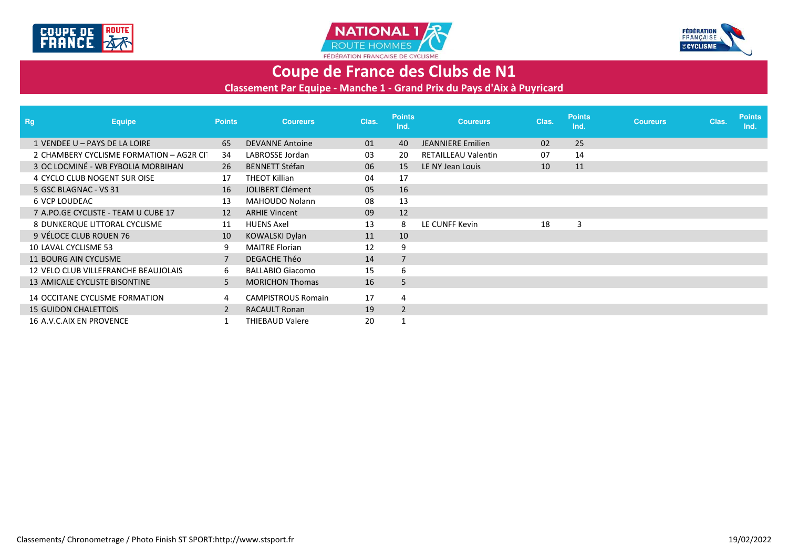





## **Coupe de France des Clubs de N1**

**Classement Par Equipe - Manche 1 - Grand Prix du Pays d'Aix à Puyricard**

| <b>Rg</b>                   | <b>Equipe</b>                            | <b>Points</b> | <b>Coureurs</b>           | Clas. | <b>Points</b><br>Ind. | <b>Coureurs</b>            | Clas. | <b>Points</b><br>Ind. | <b>Coureurs</b> | Clas. | <b>Points</b><br>Ind. |
|-----------------------------|------------------------------------------|---------------|---------------------------|-------|-----------------------|----------------------------|-------|-----------------------|-----------------|-------|-----------------------|
|                             | 1 VENDEE U - PAYS DE LA LOIRE            | 65            | <b>DEVANNE Antoine</b>    | 01    | 40                    | <b>JEANNIERE Emilien</b>   | 02    | 25                    |                 |       |                       |
|                             | 2 CHAMBERY CYCLISME FORMATION - AG2R CIT | 34            | LABROSSE Jordan           | 03    | 20                    | <b>RETAILLEAU Valentin</b> | 07    | 14                    |                 |       |                       |
|                             | 3 OC LOCMINÉ - WB FYBOLIA MORBIHAN       | 26            | <b>BENNETT Stéfan</b>     | 06    | 15                    | LE NY Jean Louis           | 10    | 11                    |                 |       |                       |
|                             | 4 CYCLO CLUB NOGENT SUR OISE             | 17            | <b>THEOT Killian</b>      | 04    | 17                    |                            |       |                       |                 |       |                       |
|                             | 5 GSC BLAGNAC - VS 31                    | 16            | <b>JOLIBERT Clément</b>   | 05    | 16                    |                            |       |                       |                 |       |                       |
| <b>6 VCP LOUDEAC</b>        |                                          | 13            | <b>MAHOUDO Nolann</b>     | 08    | 13                    |                            |       |                       |                 |       |                       |
|                             | 7 A.PO.GE CYCLISTE - TEAM U CUBE 17      | 12            | <b>ARHIE Vincent</b>      | 09    | 12                    |                            |       |                       |                 |       |                       |
|                             | 8 DUNKERQUE LITTORAL CYCLISME            | 11            | <b>HUENS Axel</b>         | 13    | 8                     | LE CUNFF Kevin             | 18    | 3                     |                 |       |                       |
|                             | 9 VÉLOCE CLUB ROUEN 76                   | 10            | KOWALSKI Dylan            | 11    | 10                    |                            |       |                       |                 |       |                       |
| 10 LAVAL CYCLISME 53        |                                          | 9             | <b>MAITRE Florian</b>     | 12    | 9                     |                            |       |                       |                 |       |                       |
|                             | 11 BOURG AIN CYCLISME                    | 7             | <b>DEGACHE Théo</b>       | 14    | $\overline{7}$        |                            |       |                       |                 |       |                       |
|                             | 12 VELO CLUB VILLEFRANCHE BEAUJOLAIS     | 6             | <b>BALLABIO Giacomo</b>   | 15    | 6                     |                            |       |                       |                 |       |                       |
|                             | 13 AMICALE CYCLISTE BISONTINE            | 5             | <b>MORICHON Thomas</b>    | 16    | 5                     |                            |       |                       |                 |       |                       |
|                             | 14 OCCITANE CYCLISME FORMATION           | 4             | <b>CAMPISTROUS Romain</b> | 17    | 4                     |                            |       |                       |                 |       |                       |
| <b>15 GUIDON CHALETTOIS</b> |                                          | 2             | <b>RACAULT Ronan</b>      | 19    | $\overline{2}$        |                            |       |                       |                 |       |                       |
|                             | 16 A.V.C.AIX EN PROVENCE                 |               | <b>THIEBAUD Valere</b>    | 20    | $\mathbf{1}$          |                            |       |                       |                 |       |                       |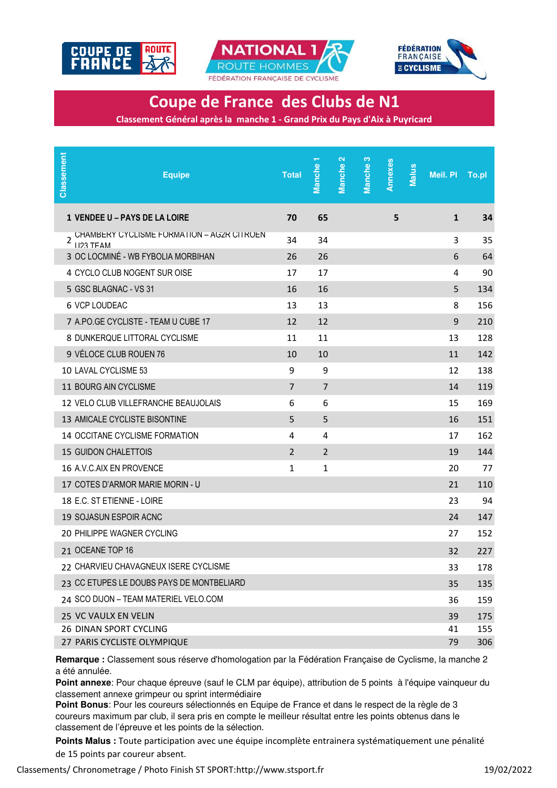





**Coupe de France des Clubs de N1**

**Classement Général après la manche 1 - Grand Prix du Pays d'Aix à Puyricard**

| Classement | <b>Equipe</b>                                                  | <b>Total</b>   | ٣<br><b>Manche</b> | Manche <sub>2</sub> | Manche <sub>3</sub> | Annexes | <b>Malus</b> | Meil. Pl     | To.pl |
|------------|----------------------------------------------------------------|----------------|--------------------|---------------------|---------------------|---------|--------------|--------------|-------|
|            | <b>1 VENDEE U - PAYS DE LA LOIRE</b>                           | 70             | 65                 |                     |                     | 5       |              | $\mathbf{1}$ | 34    |
| 2          | CHAMBERY CYCLISME FORMATION - AG2R CITROEN<br><b>1123 TFAM</b> | 34             | 34                 |                     |                     |         |              | 3            | 35    |
|            | 3 OC LOCMINÉ - WB FYBOLIA MORBIHAN                             | 26             | 26                 |                     |                     |         |              | 6            | 64    |
|            | 4 CYCLO CLUB NOGENT SUR OISE                                   | 17             | 17                 |                     |                     |         |              | 4            | 90    |
|            | 5 GSC BLAGNAC - VS 31                                          | 16             | 16                 |                     |                     |         |              | 5            | 134   |
|            | 6 VCP LOUDEAC                                                  | 13             | 13                 |                     |                     |         |              | 8            | 156   |
|            | 7 A.PO.GE CYCLISTE - TEAM U CUBE 17                            | 12             | 12                 |                     |                     |         |              | 9            | 210   |
|            | 8 DUNKERQUE LITTORAL CYCLISME                                  | 11             | 11                 |                     |                     |         |              | 13           | 128   |
|            | 9 VÉLOCE CLUB ROUEN 76                                         | 10             | 10                 |                     |                     |         |              | 11           | 142   |
|            | 10 LAVAL CYCLISME 53                                           | 9              | 9                  |                     |                     |         |              | 12           | 138   |
|            | 11 BOURG AIN CYCLISME                                          | $\overline{7}$ | $\overline{7}$     |                     |                     |         |              | 14           | 119   |
|            | 12 VELO CLUB VILLEFRANCHE BEAUJOLAIS                           | 6              | 6                  |                     |                     |         |              | 15           | 169   |
|            | 13 AMICALE CYCLISTE BISONTINE                                  | 5              | 5                  |                     |                     |         |              | 16           | 151   |
|            | 14 OCCITANE CYCLISME FORMATION                                 | 4              | 4                  |                     |                     |         |              | 17           | 162   |
|            | <b>15 GUIDON CHALETTOIS</b>                                    | $\overline{2}$ | $\overline{2}$     |                     |                     |         |              | 19           | 144   |
|            | 16 A.V.C.AIX EN PROVENCE                                       | 1              | 1                  |                     |                     |         |              | 20           | 77    |
|            | 17 COTES D'ARMOR MARIE MORIN - U                               |                |                    |                     |                     |         |              | 21           | 110   |
|            | 18 E.C. ST ETIENNE - LOIRE                                     |                |                    |                     |                     |         |              | 23           | 94    |
|            | 19 SOJASUN ESPOIR ACNC                                         |                |                    |                     |                     |         |              | 24           | 147   |
|            | 20 PHILIPPE WAGNER CYCLING                                     |                |                    |                     |                     |         |              | 27           | 152   |
|            | 21 OCEANE TOP 16                                               |                |                    |                     |                     |         |              | 32           | 227   |
|            | 22 CHARVIEU CHAVAGNEUX ISERE CYCLISME                          |                |                    |                     |                     |         |              | 33           | 178   |
|            | 23 CC ETUPES LE DOUBS PAYS DE MONTBELIARD                      |                |                    |                     |                     |         |              | 35           | 135   |
|            | 24 SCO DIJON - TEAM MATERIEL VELO.COM                          |                |                    |                     |                     |         |              | 36           | 159   |
|            | 25 VC VAULX EN VELIN                                           |                |                    |                     |                     |         |              | 39           | 175   |
|            | 26 DINAN SPORT CYCLING                                         |                |                    |                     |                     |         |              | 41           | 155   |
|            | 27 PARIS CYCLISTE OLYMPIQUE                                    |                |                    |                     |                     |         |              | 79           | 306   |

**Remarque :** Classement sous réserve d'homologation par la Fédération Française de Cyclisme, la manche 2 a été annulée.

**Point annexe**: Pour chaque épreuve (sauf le CLM par équipe), attribution de 5 points à l'équipe vainqueur du classement annexe grimpeur ou sprint intermédiaire

**Point Bonus**: Pour les coureurs sélectionnés en Equipe de France et dans le respect de la règle de 3 coureurs maximum par club, il sera pris en compte le meilleur résultat entre les points obtenus dans le classement de l'épreuve et les points de la sélection.

**Points Malus :** Toute participation avec une équipe incomplète entrainera systématiquement une pénalité de 15 points par coureur absent.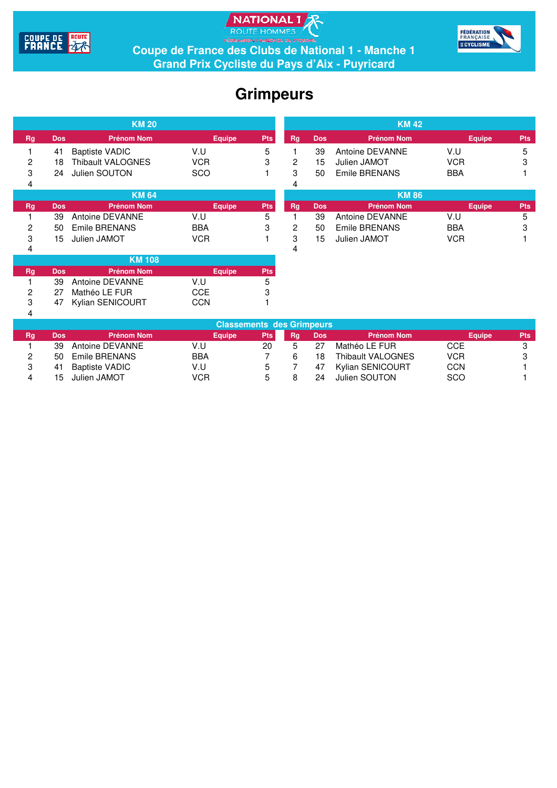





**Coupe de France des Clubs de National 1 - Manche 1 Grand Prix Cycliste du Pays d'Aix - Puyricard**

## **Grimpeurs**

| <b>KM 20</b> |            |                         |               |            |                |             | <b>KM42</b>       |               |            |  |  |  |
|--------------|------------|-------------------------|---------------|------------|----------------|-------------|-------------------|---------------|------------|--|--|--|
| Rg           | <b>Dos</b> | <b>Prénom Nom</b>       | <b>Equipe</b> | <b>Pts</b> | <b>Rg</b>      | <b>Dos</b>  | <b>Prénom Nom</b> | <b>Equipe</b> | <b>Pts</b> |  |  |  |
|              | 41         | <b>Baptiste VADIC</b>   | V.U           | 5          |                | 39          | Antoine DEVANNE   | V.U           | 5          |  |  |  |
| 2            | 18         | Thibault VALOGNES       | <b>VCR</b>    | 3          | $\overline{c}$ | 15          | Julien JAMOT      | <b>VCR</b>    | 3          |  |  |  |
| 3            | 24         | Julien SOUTON           | <b>SCO</b>    |            | 3              | 50          | Emile BRENANS     | <b>BBA</b>    |            |  |  |  |
| 4            |            |                         |               |            | 4              |             |                   |               |            |  |  |  |
| <b>KM 64</b> |            |                         |               |            |                | <b>KM86</b> |                   |               |            |  |  |  |
| <b>Rg</b>    | <b>Dos</b> | <b>Prénom Nom</b>       | <b>Equipe</b> | <b>Pts</b> | <b>Rg</b>      | <b>Dos</b>  | <b>Prénom Nom</b> | <b>Equipe</b> | <b>Pts</b> |  |  |  |
|              | 39         | Antoine DEVANNE         | V.U           | 5          |                | 39          | Antoine DEVANNE   | V.U           | 5          |  |  |  |
| 2            | 50         | Emile BRENANS           | <b>BBA</b>    | 3          | $\overline{c}$ | 50          | Emile BRENANS     | <b>BBA</b>    | 3          |  |  |  |
| 3            | 15         | Julien JAMOT            | <b>VCR</b>    |            | 3              | 15          | Julien JAMOT      | <b>VCR</b>    |            |  |  |  |
| 4            |            |                         |               |            | 4              |             |                   |               |            |  |  |  |
|              |            | <b>KM 108</b>           |               |            |                |             |                   |               |            |  |  |  |
| Rg           | <b>Dos</b> | <b>Prénom Nom</b>       | <b>Equipe</b> | <b>Pts</b> |                |             |                   |               |            |  |  |  |
|              | 39         | Antoine DEVANNE         | V.U           | 5          |                |             |                   |               |            |  |  |  |
| 2            | 27         | Mathéo LE FUR           | <b>CCE</b>    | 3          |                |             |                   |               |            |  |  |  |
| 3            | 47         | <b>Kylian SENICOURT</b> | <b>CCN</b>    |            |                |             |                   |               |            |  |  |  |
| 4            |            |                         |               |            |                |             |                   |               |            |  |  |  |

| <b>Classements des Grimpeurs</b> |      |                       |               |     |    |            |                   |            |            |  |  |
|----------------------------------|------|-----------------------|---------------|-----|----|------------|-------------------|------------|------------|--|--|
| Rg                               | Dos. | <b>Prénom Nom</b>     | <b>Equipe</b> | Pts | Rq | <b>Dos</b> | <b>Prénom Nom</b> | Equipe     | <b>Pts</b> |  |  |
|                                  | 39   | Antoine DEVANNE       | V.U           | 20  |    | 27         | Mathéo LE FUR     | CCE        |            |  |  |
|                                  | 50.  | Emile BRENANS         | <b>BBA</b>    |     |    | 18         | Thibault VALOGNES | <b>VCR</b> |            |  |  |
|                                  | 41   | <b>Baptiste VADIC</b> | V.U           | 5   |    | 47         | Kylian SENICOURT  | CCN        |            |  |  |
|                                  | 15   | Julien JAMOT          | VCR           | h   |    | 24         | Julien SOUTON     | SCO        |            |  |  |